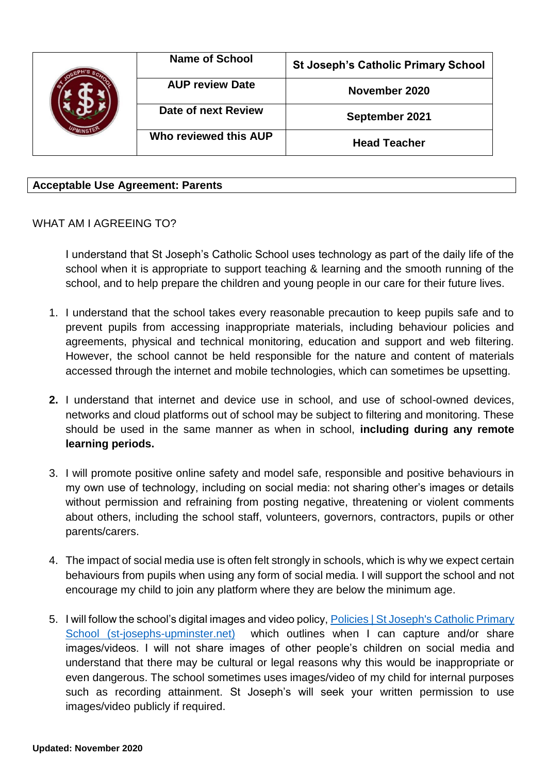|  | <b>Name of School</b>  | <b>St Joseph's Catholic Primary School</b> |
|--|------------------------|--------------------------------------------|
|  | <b>AUP review Date</b> | November 2020                              |
|  | Date of next Review    | September 2021                             |
|  | Who reviewed this AUP  | <b>Head Teacher</b>                        |

## **Acceptable Use Agreement: Parents**

## WHAT AM I AGREEING TO?

I understand that St Joseph's Catholic School uses technology as part of the daily life of the school when it is appropriate to support teaching & learning and the smooth running of the school, and to help prepare the children and young people in our care for their future lives.

- 1. I understand that the school takes every reasonable precaution to keep pupils safe and to prevent pupils from accessing inappropriate materials, including behaviour policies and agreements, physical and technical monitoring, education and support and web filtering. However, the school cannot be held responsible for the nature and content of materials accessed through the internet and mobile technologies, which can sometimes be upsetting.
- **2.** I understand that internet and device use in school, and use of school-owned devices, networks and cloud platforms out of school may be subject to filtering and monitoring. These should be used in the same manner as when in school, **including during any remote learning periods.**
- 3. I will promote positive online safety and model safe, responsible and positive behaviours in my own use of technology, including on social media: not sharing other's images or details without permission and refraining from posting negative, threatening or violent comments about others, including the school staff, volunteers, governors, contractors, pupils or other parents/carers.
- 4. The impact of social media use is often felt strongly in schools, which is why we expect certain behaviours from pupils when using any form of social media. I will support the school and not encourage my child to join any platform where they are below the minimum age.
- 5. I will follow the school's digital images and video policy, [Policies | St Joseph's Catholic Primary](http://www.st-josephs-upminster.net/about-the-school/policies-and-downloads/)  [School \(st-josephs-upminster.net\)](http://www.st-josephs-upminster.net/about-the-school/policies-and-downloads/) which outlines when I can capture and/or share images/videos. I will not share images of other people's children on social media and understand that there may be cultural or legal reasons why this would be inappropriate or even dangerous. The school sometimes uses images/video of my child for internal purposes such as recording attainment. St Joseph's will seek your written permission to use images/video publicly if required.